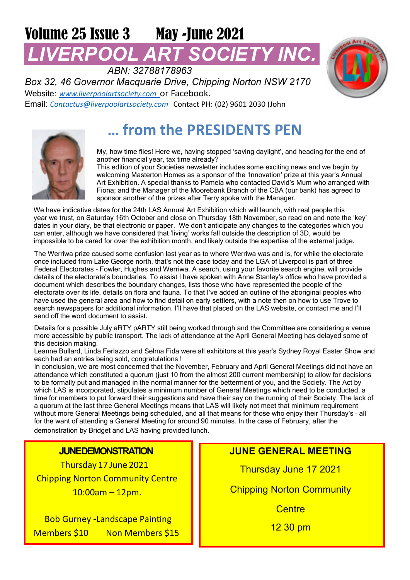# Volume 25 Issue 3 May -June 2021 *LIVERPOOL ART SOCIETY INC.*

*ABN: 32788178963 Box 32, 46 Governor Macquarie Drive, Chipping Norton NSW 2170* Website: *www.liverpoolartsociety.com* or Facebook. Email: *Contactus@liverpoolartsociety.com* Contact PH: (02) 9601 2030 (John



# **… from the PRESIDENTS PEN**



My, how time flies! Here we, having stopped 'saving daylight', and heading for the end of another financial year, tax time already?

This edition of your Societies newsletter includes some exciting news and we begin by welcoming Masterton Homes as a sponsor of the 'Innovation' prize at this year's Annual Art Exhibition. A special thanks to Pamela who contacted David's Mum who arranged with Fiona; and the Manager of the Moorebank Branch of the CBA (our bank) has agreed to sponsor another of the prizes after Terry spoke with the Manager.

We have indicative dates for the 24th LAS Annual Art Exhibition which will launch, with real people this year we trust, on Saturday 16th October and close on Thursday 18th November, so read on and note the 'key' dates in your diary, be that electronic or paper. We don't anticipate any changes to the categories which you can enter, although we have considered that 'living' works fall outside the description of 3D, would be impossible to be cared for over the exhibition month, and likely outside the expertise of the external judge.

The Werriwa prize caused some confusion last year as to where Werriwa was and is, for while the electorate once included from Lake George north, that's not the case today and the LGA of Liverpool is part of three Federal Electorates - Fowler, Hughes and Werriwa. A search, using your favorite search engine, will provide details of the electorate's boundaries. To assist I have spoken with Anne Stanley's office who have provided a document which describes the boundary changes, lists those who have represented the people of the electorate over its life, details on flora and fauna. To that I've added an outline of the aboriginal peoples who have used the general area and how to find detail on early settlers, with a note then on how to use Trove to search newspapers for additional information. I'll have that placed on the LAS website, or contact me and I'll send off the word document to assist.

Details for a possible July aRTY pARTY still being worked through and the Committee are considering a venue more accessible by public transport. The lack of attendance at the April General Meeting has delayed some of this decision making.

Leanne Bullard, Linda Ferlazzo and Selma Fida were all exhibitors at this year's Sydney Royal Easter Show and each had an entries being sold, congratulations !

In conclusion, we are most concerned that the November, February and April General Meetings did not have an attendance which constituted a quorum (just 10 from the almost 200 current membership) to allow for decisions to be formally put and managed in the normal manner for the betterment of you, and the Society. The Act by which LAS is incorporated, stipulates a minimum number of General Meetings which need to be conducted, a time for members to put forward their suggestions and have their say on the running of their Society. The lack of a quorum at the last three General Meetings means that LAS will likely not meet that minimum requirement without more General Meetings being scheduled, and all that means for those who enjoy their Thursday's – all for the want of attending a General Meeting for around 90 minutes. In the case of February, after the demonstration by Bridget and LAS having provided lunch.

### **JUNEDEMONSTRATION**

Thursday 17 June 2021 Chipping Norton Community Centre 10:00am – 12pm.

**Bob Gurney -Landscape Painting** Members \$10 Non Members \$15

# **JUNE GENERAL MEETING**

Thursday June 17 2021

**Chipping Norton Community** 

**Centre** 

12 30 pm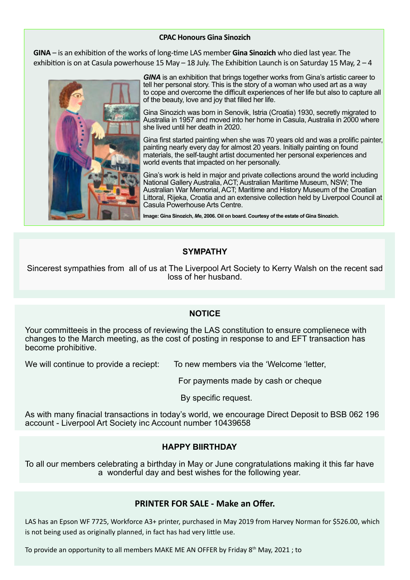#### **CPAC Honours Gina Sinozich**

**GINA** – is an exhibition of the works of long-time LAS member Gina Sinozich who died last year. The exhibition is on at Casula powerhouse 15 May – 18 July. The Exhibition Launch is on Saturday 15 May,  $2 - 4$ 



*GINA* is an exhibition that brings together works from Gina's artistic career to tell her personal story. This is the story of a woman who used art as a way to cope and overcome the difficult experiences of her life but also to capture all of the beauty, love and joy that filled her life.

Gina Sinozich was born in Senovik, Istria (Croatia) 1930, secretly migrated to Australia in 1957 and moved into her home in Casula, Australia in 2000 where she lived until her death in 2020.

Gina first started painting when she was 70 years old and was a prolific painter, painting nearly every day for almost 20 years. Initially painting on found materials, the self-taught artist documented her personal experiences and world events that impacted on her personally.

Gina's work is held in major and private collections around the world including National Gallery Australia, ACT; Australian Maritime Museum, NSW; The Australian War Memorial, ACT; Maritime and History Museum of the Croatian Littoral, Rijeka, Croatia and an extensive collection held by Liverpool Council at Casula Powerhouse Arts Centre.

**Image: Gina Sinozich,** *Me***, 2006. Oil on board. Courtesy of the estate of Gina Sinozich.**

#### **SYMPATHY**

Sincerest sympathies from all of us at The Liverpool Art Society to Kerry Walsh on the recent sad loss of her husband.

#### **NOTICE**

Your committeeis in the process of reviewing the LAS constitution to ensure complienece with changes to the March meeting, as the cost of posting in response to and EFT transaction has become prohibitive.

We will continue to provide a reciept: To new members via the 'Welcome 'letter,

For payments made by cash or cheque

By specific request.

As with many finacial transactions in today's world, we encourage Direct Deposit to BSB 062 196 account - Liverpool Art Society inc Account number 10439658

### **HAPPY BIIRTHDAY**

To all our members celebrating a birthday in May or June congratulations making it this far have a wonderful day and best wishes for the following year.

### **PRINTER FOR SALE - Make an Offer.**

LAS has an Epson WF 7725, Workforce A3+ printer, purchased in May 2019 from Harvey Norman for \$526.00, which is not being used as originally planned, in fact has had very little use.

To provide an opportunity to all members MAKE ME AN OFFER by Friday 8th May, 2021 ; to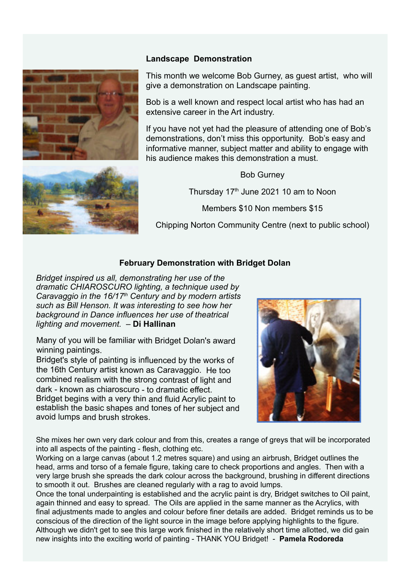



#### **Landscape Demonstration**

This month we welcome Bob Gurney, as guest artist, who will give a demonstration on Landscape painting.

Bob is a well known and respect local artist who has had an extensive career in the Art industry.

If you have not yet had the pleasure of attending one of Bob's demonstrations, don't miss this opportunity. Bob's easy and informative manner, subject matter and ability to engage with his audience makes this demonstration a must.

Bob Gurney Thursday 17th June 2021 10 am to Noon Members \$10 Non members \$15 Chipping Norton Community Centre (next to public school)

# **February Demonstration with Bridget Dolan**

*Bridget inspired us all, demonstrating her use of the dramatic CHIAROSCURO lighting, a technique used by Caravaggio in the 16/17th Century and by modern artists such as Bill Henson. It was interesting to see how her background in Dance influences her use of theatrical lighting and movement.* – **Di Hallinan**

Many of you will be familiar with Bridget Dolan's award winning paintings.

Bridget's style of painting is influenced by the works of the 16th Century artist known as Caravaggio. He too combined realism with the strong contrast of light and dark - known as chiaroscuro - to dramatic effect. Bridget begins with <sup>a</sup> very thin and fluid Acrylic paint to establish the basic shapes and tones of her subject and avoid lumps and brush strokes.



She mixes her own very dark colour and from this, creates a range of greys that will be incorporated into all aspects of the painting - flesh, clothing etc.

Working on a large canvas (about 1.2 metres square) and using an airbrush, Bridget outlines the head, arms and torso of a female figure, taking care to check proportions and angles. Then with a very large brush she spreads the dark colour across the background, brushing in different directions to smooth it out. Brushes are cleaned regularly with a rag to avoid lumps.

Once the tonal underpainting is established and the acrylic paint is dry, Bridget switches to Oil paint, again thinned and easy to spread. The Oils are applied in the same manner as the Acrylics, with final adjustments made to angles and colour before finer details are added. Bridget reminds us to be conscious of the direction of the light source in the image before applying highlights to the figure. Although we didn't get to see this large work finished in the relatively short time allotted, we did gain new insights into the exciting world of painting - THANK YOU Bridget! - **Pamela Rodoreda**